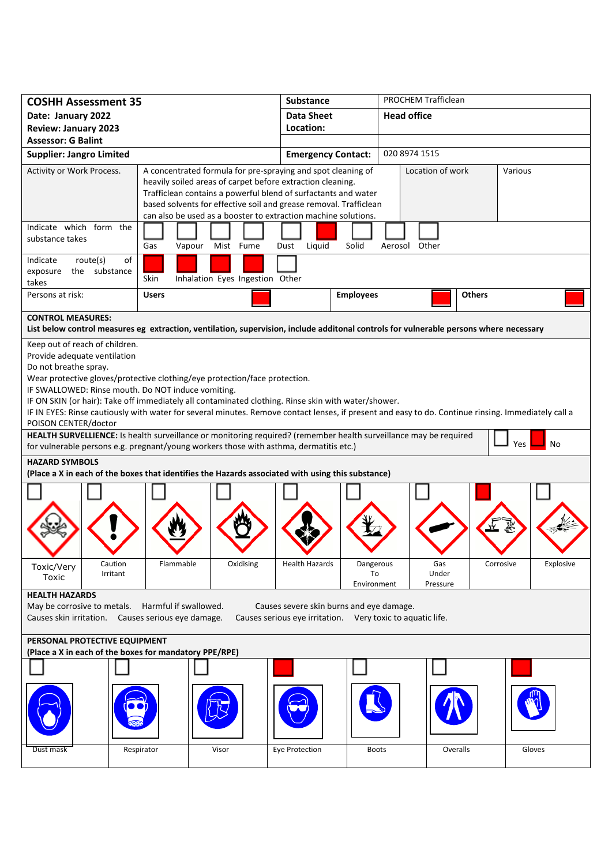| <b>COSHH Assessment 35</b>                                                                                                                                                  |                            |                                                                   | <b>Substance</b>                                           |                  | PROCHEM Trafficlean |               |           |
|-----------------------------------------------------------------------------------------------------------------------------------------------------------------------------|----------------------------|-------------------------------------------------------------------|------------------------------------------------------------|------------------|---------------------|---------------|-----------|
| Date: January 2022                                                                                                                                                          |                            |                                                                   | <b>Data Sheet</b>                                          |                  | <b>Head office</b>  |               |           |
| <b>Review: January 2023</b>                                                                                                                                                 |                            |                                                                   | Location:                                                  |                  |                     |               |           |
| <b>Assessor: G Balint</b>                                                                                                                                                   |                            |                                                                   |                                                            |                  |                     |               |           |
| <b>Supplier: Jangro Limited</b>                                                                                                                                             |                            |                                                                   | <b>Emergency Contact:</b>                                  |                  | 020 8974 1515       |               |           |
| Activity or Work Process.                                                                                                                                                   |                            | A concentrated formula for pre-spraying and spot cleaning of      |                                                            |                  | Location of work    |               | Various   |
|                                                                                                                                                                             |                            | heavily soiled areas of carpet before extraction cleaning.        |                                                            |                  |                     |               |           |
|                                                                                                                                                                             |                            | Trafficlean contains a powerful blend of surfactants and water    |                                                            |                  |                     |               |           |
|                                                                                                                                                                             |                            | based solvents for effective soil and grease removal. Trafficlean |                                                            |                  |                     |               |           |
|                                                                                                                                                                             |                            | can also be used as a booster to extraction machine solutions.    |                                                            |                  |                     |               |           |
| Indicate which form the<br>substance takes                                                                                                                                  |                            |                                                                   |                                                            |                  |                     |               |           |
|                                                                                                                                                                             | Gas<br>Vapour              | Mist Fume                                                         | Dust<br>Liquid                                             | Solid            | Aerosol Other       |               |           |
| Indicate<br>route(s)<br>of                                                                                                                                                  |                            |                                                                   |                                                            |                  |                     |               |           |
| the substance<br>exposure                                                                                                                                                   | Skin                       | Inhalation Eyes Ingestion Other                                   |                                                            |                  |                     |               |           |
| takes                                                                                                                                                                       |                            |                                                                   |                                                            |                  |                     |               |           |
| Persons at risk:                                                                                                                                                            | <b>Users</b>               |                                                                   |                                                            | <b>Employees</b> |                     | <b>Others</b> |           |
| <b>CONTROL MEASURES:</b>                                                                                                                                                    |                            |                                                                   |                                                            |                  |                     |               |           |
| List below control measures eg extraction, ventilation, supervision, include additonal controls for vulnerable persons where necessary                                      |                            |                                                                   |                                                            |                  |                     |               |           |
| Keep out of reach of children.                                                                                                                                              |                            |                                                                   |                                                            |                  |                     |               |           |
| Provide adequate ventilation                                                                                                                                                |                            |                                                                   |                                                            |                  |                     |               |           |
| Do not breathe spray.                                                                                                                                                       |                            |                                                                   |                                                            |                  |                     |               |           |
| Wear protective gloves/protective clothing/eye protection/face protection.                                                                                                  |                            |                                                                   |                                                            |                  |                     |               |           |
| IF SWALLOWED: Rinse mouth. Do NOT induce vomiting.<br>IF ON SKIN (or hair): Take off immediately all contaminated clothing. Rinse skin with water/shower.                   |                            |                                                                   |                                                            |                  |                     |               |           |
|                                                                                                                                                                             |                            |                                                                   |                                                            |                  |                     |               |           |
| IF IN EYES: Rinse cautiously with water for several minutes. Remove contact lenses, if present and easy to do. Continue rinsing. Immediately call a<br>POISON CENTER/doctor |                            |                                                                   |                                                            |                  |                     |               |           |
| HEALTH SURVELLIENCE: Is health surveillance or monitoring required? (remember health surveillance may be required                                                           |                            |                                                                   |                                                            |                  |                     |               |           |
| No<br>Yes<br>for vulnerable persons e.g. pregnant/young workers those with asthma, dermatitis etc.)                                                                         |                            |                                                                   |                                                            |                  |                     |               |           |
| <b>HAZARD SYMBOLS</b>                                                                                                                                                       |                            |                                                                   |                                                            |                  |                     |               |           |
| (Place a X in each of the boxes that identifies the Hazards associated with using this substance)                                                                           |                            |                                                                   |                                                            |                  |                     |               |           |
|                                                                                                                                                                             |                            |                                                                   |                                                            |                  |                     |               |           |
|                                                                                                                                                                             |                            |                                                                   |                                                            |                  |                     |               |           |
|                                                                                                                                                                             |                            |                                                                   |                                                            |                  |                     |               |           |
|                                                                                                                                                                             |                            |                                                                   |                                                            |                  |                     |               |           |
|                                                                                                                                                                             |                            |                                                                   |                                                            |                  |                     |               |           |
|                                                                                                                                                                             |                            |                                                                   |                                                            |                  |                     |               |           |
| Caution<br>Toxic/Very<br>Irritant                                                                                                                                           | Flammable                  | Oxidising                                                         | <b>Health Hazards</b>                                      | Dangerous<br>To  | Gas<br>Under        | Corrosive     | Explosive |
| Toxic                                                                                                                                                                       |                            |                                                                   |                                                            | Environment      | Pressure            |               |           |
| <b>HEALTH HAZARDS</b>                                                                                                                                                       |                            |                                                                   |                                                            |                  |                     |               |           |
| May be corrosive to metals.<br>Harmful if swallowed.<br>Causes severe skin burns and eye damage.                                                                            |                            |                                                                   |                                                            |                  |                     |               |           |
| Causes skin irritation.                                                                                                                                                     | Causes serious eye damage. |                                                                   | Causes serious eye irritation. Very toxic to aquatic life. |                  |                     |               |           |
| PERSONAL PROTECTIVE EQUIPMENT                                                                                                                                               |                            |                                                                   |                                                            |                  |                     |               |           |
| (Place a X in each of the boxes for mandatory PPE/RPE)                                                                                                                      |                            |                                                                   |                                                            |                  |                     |               |           |
|                                                                                                                                                                             |                            |                                                                   |                                                            |                  |                     |               |           |
|                                                                                                                                                                             |                            |                                                                   |                                                            |                  |                     |               |           |
|                                                                                                                                                                             |                            |                                                                   |                                                            |                  |                     |               |           |
|                                                                                                                                                                             |                            |                                                                   |                                                            |                  |                     |               |           |
|                                                                                                                                                                             |                            |                                                                   |                                                            |                  |                     |               |           |
|                                                                                                                                                                             |                            |                                                                   |                                                            |                  |                     |               |           |